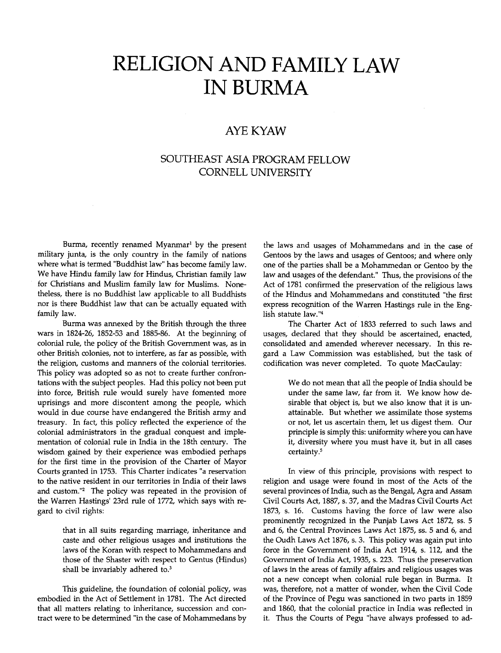## **RELIGION AND FAMILY LAW IN BURMA**

## AYEKYAW

## SOUTHEAST ASIA PROGRAM FELLOW CORNELL UNIVERSITY

Burma, recently renamed Myanmar<sup>1</sup> by the present military junta, is the only country in the family of nations where what is termed "Buddhist law" has become family law. We have Hindu family law for Hindus, Christian family law for Christians and Muslim family law for Muslims. Nonetheless, there is no Buddhist law applicable to all Buddhists nor is there Buddhist law that can be actually equated with family law.

Burma was annexed by the British through the three wars in 1824-26, 1852-53 and 1885-86. At the beginning of colonial rule, the policy of the British Government was, as in other British colonies, not to interfere, as far as possible, with the religion, customs and manners of the colonial territories. This policy was adopted so as not to create further confrontations with the subject peoples. Had this policy not been put into force, British rule would surely have fomented more uprisings and more discontent among the people, which would in due course have endangered the British army and treasury. In fact, this policy reflected the experience of the colonial administrators in the gradual conquest and implementation of colonial rule in India in the 18th century. The wisdom gained by their experience was embodied perhaps for the first time in the provision of the Charter of Mayor Courts granted in 1753. This Charter indicates "a reservation to the native resident in our territories in India of their laws and custom."2 The policy was repeated in the provision of the Warren Hastings' 23rd rule of 1772, which says with regard to civil rights:

> that in all suits regarding marriage, inheritance and caste and other religious usages and institutions the laws of the Koran with respect to Mohammedans and those of the Shaster with respect to Gentus (Hindus) shall be invariably adhered to.3

This guideline, the foundation of colonial policy, was embodied in the Act of Settlement in 1781. The Act directed that all matters relating to inheritance, succession and contract were to be determined "in the case of Mohammedans by

the laws and usages of Mohammedans and in the case of Gentoos by the laws and usages of Gentoos; and where only one of the parties shall be a Mohammedan or Gentoo by the law and usages of the defendant." Thus, the provisions of the Act of 1781 confirmed the preservation of the religious laws of the Hindus and Mohammedans and constituted "the first express recognition of the Warren Hastings rule in the English statute law."4

The Charter Act of 1833 referred to such laws and usages, declared that they should be ascertained, enacted, consolidated and amended wherever necessary. In this regard a Law Commission was established, but the task of codification was never completed. To quote MacCaulay:

> We do not mean that all the people of India should be under the same law, far from it. We know how desirable that object is, but we also know that it is unattainable. But whether we assimilate those systems or not, let us ascertain them, let us digest them. Our principle is simply this: uniformity where you can have it, diversity where you must have it, but in all cases certainty.5

In view of this principle, provisions with respect to religion and usage were found in most of the Acts of the several provinces of India, such as the Bengal, Agra and Assam Civil Courts Act, 1887, s. 37, and the Madras Civil Courts Act 1873, s. 16. Customs having the force of law were also prominently recognized in the Punjab Laws Act 1872, ss. 5 and 6, the Central Provinces Laws Act 1875, ss. 5 and 6, and the Oudh Laws Act 1876, s. 3. This policy was again put into force in the Government of India Act 1914, s. 112, and the Government of India Act, 1935, s. 223. Thus the preservation of laws in the areas of family affairs and religious usages was not a new concept when colonial rule began in Burma. It was, therefore, not a matter of wonder, when the Civil Code of the Province of Pegu was sanctioned in two parts in 1859 and 1860, that the colonial practice in India was reflected in it. Thus the Courts of Pegu "have always professed to ad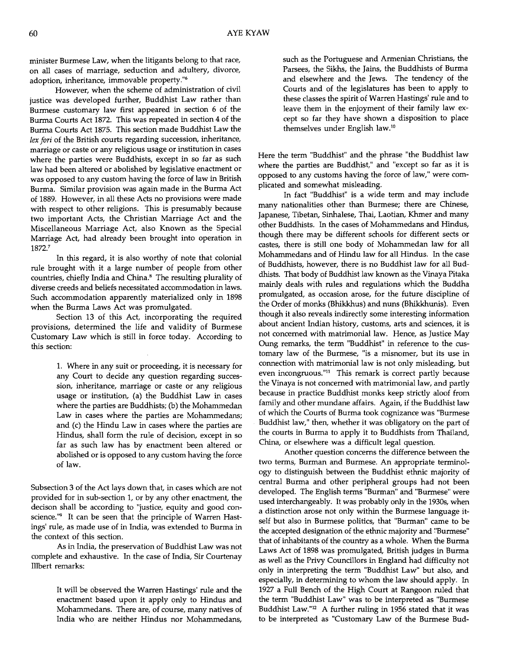minister Burmese Law, when the litigants belong to that race, on all cases of marriage, seduction and adultery, divorce, adoption, inheritance, immovable property."6

However, when the scheme of administration of civil justice was developed further, Buddhist Law rather than Burmese customary law first appeared in section 6 of the Burma Courts Act 1872. This was repeated in section 4 of the Burma Courts Act 1875. This section made Buddhist Law the *lex fori* of the British courts regarding succession, inheritance, marriage or caste or any religious usage or institution in cases where the parties were Buddhists, except in so far as such law had been altered or abolished by legislative enactment or was opposed to any custom having the force of law in British Burma. Similar provision was again made in the Burma Act of 1889. However; in all these Acts no provisions were made with respect to other religions. This is presumably because two important Acts, the Christian Marriage Act and the Miscellaneous Marriage Act, also Known as the Special Marriage Act, had already been brought into operation in 1872.<sup>7</sup>

In this regard, it is also worthy of note that colonial rule brought with it a large number of people from other countries, chiefly India and China.8 The resulting plurality of diverse creeds and beliefs necessitated accommodation in laws. Such accommodation apparently materialized only in 1898 when the Burma Laws Act was promulgated.

Section 13 of this Act, incorporating the required provisions, determined the life and validity of Burmese Customary Law which is still in force today. According to this section:

> 1. Where in any suit or proceeding, it is necessary for any Court to decide any question regarding succession, inheritance, marriage or caste or any religious usage or institution, (a) the Buddhist Law in cases where the parties are Buddhists; (b) the Mohammedan Law in cases where the parties are Mohammedans; and (c) the Hindu Law in cases where the parties are Hindus, shall form the rule of decision, except in so far as such law has by enactment been altered or abolished or is opposed to any custom having the force of law.

Subsection 3 of the Act lays down that, in cases which are not provided for in sub-section 1, or by any other enactment, the decison shall be according to "justice, equity and good conscience."<sup>9</sup> It can be seen that the principle of Warren Hastings' rule, as made use of in India, was extended to Burma in the context of this section.

As in India, the preservation of Buddhist Law was not complete and exhaustive. In the case of India, Sir Courtenay illbert remarks:

> It will be observed the Warren Hastings' rule and the enactment based upon it apply only to Hindus and Mohammedans. There are, of course, many natives of India who are neither Hindus nor Mohammedans,

such as the Portuguese and Armenian Christians, the Parsees, the Sikhs, the Jains, the Buddhists of Burma and elsewhere and the Jews. The tendency of the Courts and of the legislatures has been to apply to these classes the spirit of Warren Hastings' rule and to leave them in the enjoyment of their family law except so far they have shown a disposition to place themselves under English law.10

Here the term "Buddhist" and the phrase "the Buddhist law where the parties are Buddhist," and "except so far as it is opposed to any customs having the force of law," were complicated and somewhat misleading.

In fact "Buddhist" is a wide term and may include many nationalities other than Burmese; there are Chinese, Japanese, Tibetan, Sinhalese, Thai, Laotian, Khmer and many other Buddhists. In the cases of Mohammedans and Hindus, though there may be different schools for different sects or castes, there is still one body of Mohammedan law for all Mohammedans and of Hindu law for all Hindus. In the case of Buddhists, however, there is no Buddhist law for all Buddhists. That body of Buddhist law known as the Vinaya Pitaka mainly deals with rules and regulations which the Buddha promulgated, as occasion arose, for the future discipline of the Order of monks (Bhikkhus) and nuns (Bhikkhunis). Even though it also reveals indirectly some interesting information about ancient Indian history, customs, arts and sciences, it is not concerned with matrimonial law. Hence, as Justice May Oung remarks, the term "Buddhist" in reference to the customary law of the Burmese, "is a misnomer, but its use in connection with matrimonial law is not only misleading, but even incongruous."<sup>11</sup> This remark is correct partly because the Vinaya is not concerned with matrimonial law, and partly because in practice Buddhist monks keep strictly aloof from family and other mundane affairs. Again, if the Buddhist law of which the Courts of Burma took cognizance was "Burmese Buddhist law," then, whether it was obligatory on the part of the courts in Burma to apply it to Buddhists from Thailand, China, or elsewhere was a difficult legal question.

Another question concerns the difference between the two terms, Burman and Burmese. An appropriate terminology to distinguish between the Buddhist ethnic majority of central Burma and other peripheral groups had not been developed. The English terms "Burman" and "Burmese" were used interchangeably. It was probably only in the 1930s, when a distinction arose not only within the Burmese language itself but also in Burmese politics, that "Burman" came to be the accepted designation of the ethnic majority and "Burmese" that of inhabitants of the country as a whole. When the Burma Laws Act of 1898 was promulgated, British judges in Burma as well as the Privy Councillors in England had difficulty not only in interpreting the term "Buddhist Law" but also, and especially, in determining to whom the law should apply. In 1927 a Full Bench of the High Court at Rangoon ruled that the term "Buddhist Law" was to be interpreted as "Burmese Buddhist Law." $^{12}$  A further ruling in 1956 stated that it was to be interpreted as "Customary Law of the Burmese Bud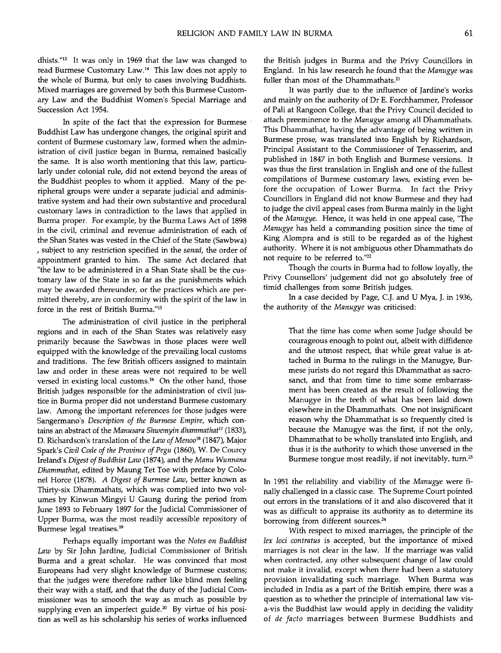dhists."13 It was only in 1969 that the law was changed to read Burmese Customary Law.14 This law does not apply to the whole of Burma, but only to cases involving Buddhists. Mixed marriages are governed by both this Burmese Customary Law and the Buddhist Women's Special Marriage and Succession Act 1954.

In spite of the fact that the expression for Burmese Buddhist Law has undergone changes, the original spirit and content of Burmese customary law, formed when the administration of civil justice began in Burma, remained basically the same. It is also worth mentioning that this law, particularly under colonial rule, did not extend beyond the areas of the Buddhist peoples to whom it applied. Many of the peripheral groups were under a separate judicial and administrative system and had their own substantive and procedural customary laws in contradiction to the laws that applied in Burma proper. For example, by the Burma Laws Act of 1898 in the civil, criminal and revenue administration of each of the Shan States was vested in the Chief of the State (Sawbwa) , subject to any restriction specified in the *sanad,* the order of appointment granted to him. The same Act declared that "the law to be administered in a Shan State shall be the customary law of the State in so far as the punishments which may be awarded thereunder, or the practices which are permitted thereby, are in conformity with the spirit of the law in force in the rest of British Burma."15

The administration of civil justice in the peripheral regions and in each of the Shan States was relatively easy primarily because the Sawbwas in those places were well equipped with the knowledge of the prevailing local customs and traditions. The few British officers assigned to maintain law and order in these areas were not required to be well versed in existing local customs.<sup>16</sup> On the other hand, those British judges responsible for the administration of civil justice in Burma proper did not understand Burmese customary law. Among the important references for those judges were Sangermano's *Description of the Burmese Empire,* which contains an abstract of the *Manusara Shwemyin dhammathat*17 (1833), D. Richardson's translation of the *Law of Menoo16* (1847), Major Spark's *Civil Code of the Province of Pegu* (1860), W. De Courcy Ireland's *Digest of Buddhist Law* (1874), and the *Manu Wunnana Dhammathat,* edited by Maung Tet Toe with preface by Colonel Horce (1878). *A Digest of Burmese Law,* better known as Thirty-six Dhammathats, which was complied into two volumes by Kinwun Mingyi U Gaung during the period from June 1893 to February 1897 for the Judicial Commissioner of Upper Burma, was the most readily accessible repository of Burmese legal treatises.19

Perhaps equally important was the *Notes on Buddhist Law* by Sir John Jardine, Judicial Commissioner of British Burma and a great scholar. He was convinced that most Europeans had very slight knowledge of Burmese customs; that the judges were therefore rather like blind men feeling their way with a staff, and that the duty of the Judicial Commissioner was to smooth the way as much as possible by supplying even an imperfect guide.<sup>20</sup> By virtue of his position as well as his scholarship his series of works influenced the British judges in Burma and the Privy Councillors in England. In his law research he found that the *Manugye* was fuller than most of the Dhammathats.<sup>21</sup>

It was partly due to the influence of Jardine's works and mainly on the authority of Dr E. Forchhammer, Professor of Pali at Rangoon College, that the Privy Council decided to attach preeminence to the *Manugye* among all Dhammathats. This Dhammathat, having the advantage of being written in Burmese prose, was translated into English by Richardson, Principal Assistant to the Commissioner of Tenasserim, and published in 1847 in both English and Burmese versions. It was thus the first translation in English and one of the fullest compilations of Burmese customary laws, existing even before the occupation of Lower Burma. In fact the Privy Councillors in England did not know Burmese and they had to judge the civil appeal cases from Burma mainly in the light of the *Manugye.* Hence, it was held in one appeal case, "The *Manugye* has held a commanding position since the time of King Alompra and is still to be regarded as of the highest authority. Where it is not ambiguous other Dhammathats do not require to be referred to."<sup>22</sup>

Though the courts in Burma had to follow loyally, the Privy Counsellors' judgement did not go absolutely free of timid challenges from some British judges.

In a case decided by Page, C.J. and U Mya, J. in 1936, the authority of the *Manugye* was criticised:

> That the time has come when some Judge should be courageous enough to point out, albeit with diffidence and the utmost respect, that while great value is attached in Burma to the rulings in the Manugye, Burmese jurists do not regard this Dhammathat as sacrosanct, and that from time to time some embarrassment has been created as the result of following the Manugye in the teeth of what has been laid down elsewhere in the Dhammathats. One not insignificant reason why the Dhammathat is so frequently cited is because the Manugye was the first, if not the only, Dhammathat to be wholly translated into English, and thus it is the authority to which those unversed in the Burmese tongue most readily, if not inevitably, turn.<sup>23</sup>

In 1951 the reliability and viability of the *Manugye* were finally challenged in a classic case. The Supreme Court pointed out errors in the translations of it and also discovered that it was as difficult to appraise its authority as to determine its borrowing from different sources.<sup>24</sup>

With respect to mixed marriages, the principle of the *lex loci contratus* is accepted, but the importance of mixed marriages is not clear in the law. If the marriage was valid when contracted, any other subsequent change of law could not make it invalid, except when there had been a statutory provision invalidating such marriage. When Burma was included in India as a part of the British empire, there was a question as to whether the principle of international law visa-vis the Buddhist law would apply in deciding the validity of *de facto* marriages between Burmese Buddhists and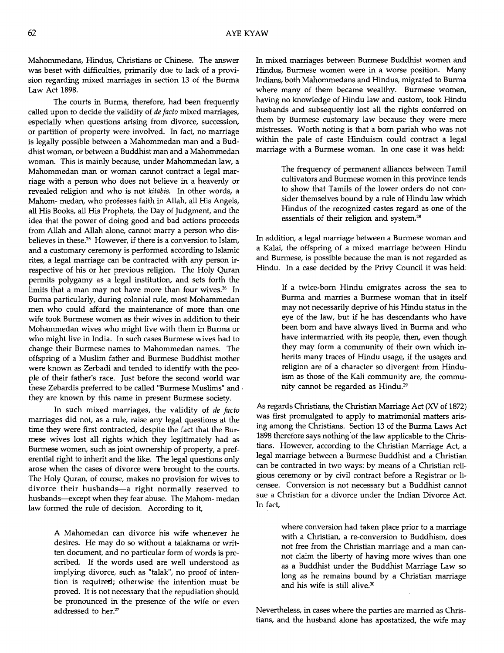Mahommedans, Hindus, Christians or Chinese. The answer was beset with difficulties, primarily due to lack of a provision regarding mixed marriages in section 13 of the Burma Law Act 1898.

The courts in Burma, therefore, had been frequently called upon to decide the validity of *de facto* mixed marriages, especially when questions arising from divorce, succession, or partition of property were involved. In fact, no marriage is legally possible between a Mahommedan man and a Buddhist woman, or between a Buddhist man and a Mahommedan woman. This is mainly because, under Mahommedan law, a Mahommedan man or woman cannot contract a legal marriage with a person who does not believe in a heavenly or revealed religion and who is not *kitabis.* In other words, a Mahom- medan, who professes faith in Allah, all His Angels, all His Books, all His Prophets, the Day of Judgment, and the idea that the power of doing good and bad actions proceeds from Allah and Allah alone, cannot marry a person who disbelieves in these.<sup>25</sup> However, if there is a conversion to Islam, and a customary ceremony is performed according to Islamic rites, a legal marriage can be contracted with any person irrespective of his or her previous religion. The Holy Quran permits polygamy as a legal institution, and sets forth the limits that a man may not have more than four wives.<sup>26</sup> In Burma particularly, during colonial rule, most Mohammedan men who could afford the maintenance of more than one wife took Burmese women as their wives in addition to their Mohammedan wives who might live with them in Burma or who might live in India. In such cases Burmese wives had to change their Burmese names to Mahommedan names. The offspring of a Muslim father and Burmese Buddhist mother were known as Zerbadi and tended to identify with the people of their father's race. Just before the second world war these Zebardis preferred to be called "Burmese Muslims" and . they are known by this name in present Burmese society.

In such mixed marriages, the validity of *de facto*  marriages did not, as a rule, raise any legal questions at the time they were first contracted, despite the fact that the Burmese wives lost all rights which they legitimately had as Burmese women, such as joint ownership of property, a preferential right to inherit and the like. The legal questions only arose when the cases of divorce were brought to the courts. The Holy Quran, of course, makes no provision for wives to divorce their husbands-a right normally reserved to husbands-except when they fear abuse. The Mahom- medan law formed the rule of decision. According to it,

> A Mahomedan can divorce his wife whenever he desires. He may do so without a talaknama or written document, and no particular form of words is prescribed. If the words used are well understood as implying divorce, such as "talak", no proof of intention is required; otherwise the intention must be proved. It is not necessary that the repudiation should be pronounced in the presence of the wife or even addressed to her.<sup>27</sup>

In mixed marriages between Burmese Buddhist women and Hindus, Burmese women were in a worse position. Many Indians, both Mahommedans and Hindus, migrated to Burma where many of them became wealthy. Burmese women, having no knowledge of Hindu law and custom, took Hindu husbands and subsequently lost all the rights conferred on them by Burmese customary law because they were mere mistresses. Worth noting is that a born pariah who was not within the pale of caste Hinduism could contract a legal marriage with a Burmese woman. In one case it was held:

> The frequency of permanent alliances between Tamil cultivators and Burmese women in this province tends to show that Tamils of the lower orders do not consider themselves bound by a rule of Hindu law which Hindus of the recognized castes regard as one of the essentials of their religion and system.<sup>28</sup>

In addition, a legal marriage between a Burmese woman and a Kalai, the offspring of a mixed marriage between Hindu and Burmese, is possible because the man is not regarded as Hindu. In a case decided by the Privy Council it was held:

> If a twice-born Hindu emigrates across the sea to Burma and marries a Burmese woman that in itself may not necessarily deprive of his Hindu status in the eye of the law, but if he has descendants who have been born and have always lived in Burma and who have intermarried with its people, then, even though they may form a community of their own which inherits many traces of Hindu usage, if the usages and religion are of a character so divergent from Hinduism as those of the Kali community are, the community cannot be regarded as Hindu.<sup>29</sup>

As regards Christians, the Christian Marriage Act (XV of 1872) was first promulgated to apply to matrimonial matters arising among the Christians. Section 13 of the Burma Laws Act 1898 therefore says nothing of the law applicable to the Christians. However, according to the Christian Marriage Act, a legal marriage between a Burmese Buddhist and a Christian can be contracted in two ways: by means of a Christian religious ceremony or by civil contract before a Registrar or licensee. Conversion is not necessary but a Buddhist cannot sue a Christian for a divorce under the Indian Divorce Act. In fact,

> where conversion had taken place prior to a marriage with a Christian, a re-conversion to Buddhism, does not free from the Christian marriage and a man cannot claim the liberty of having more wives than one as a Buddhist under the Buddhist Marriage Law so long as he remains bound by a Christian marriage and his wife is still alive.<sup>30</sup>

Nevertheless, in cases where the parties are married as Christians, and the husband alone has apostatized, the wife may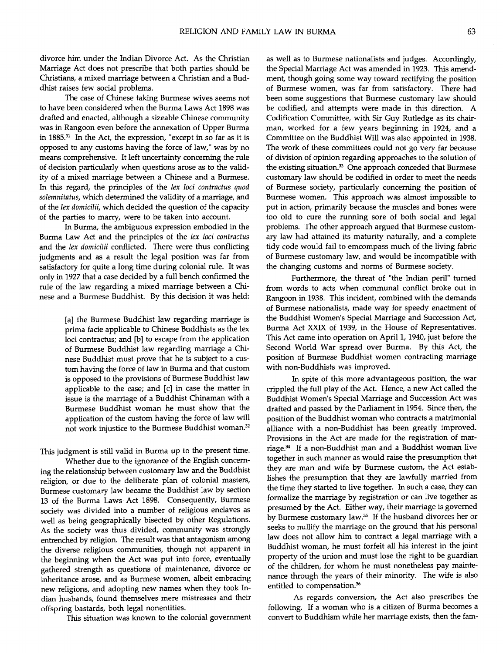divorce him under the Indian Divorce Act. As the Christian Marriage Act does not prescribe that both parties should be Christians, a mixed marriage between a Christian and a Buddhist raises few social problems.

The case of Chinese taking Burmese wives seems not to have been considered when the Burma Laws Act 1898 was drafted and enacted, although a sizeable Chinese community was in Rangoon even before the annexation of Upper Burma in 1885.31 In the Act, the expression, "except in so far as it is opposed to any customs having the force of law," was by no means comprehensive. It left uncertainty concerning the rule of decision particularly when questions arose as to the validity of a mixed marriage between a Chinese and a Burmese. In this regard, the principles of the *lex loci contractus quod solemnitatus,* which determined the validity of a marriage, and of the *lex domicilii,* which decided the question of the capacity of the parties to marry, were to be taken into account.

In Burma, the ambiguous expression embodied in the Burma Law Act and the principles of the *lex loci contractus*  and the *lex domicilii* conflicted. There were thus conflicting judgments and as a result the legal position was far from satisfactory for quite a long time during colonial rule. It was only in 1927 that a case decided by a full bench confirmed the rule of the law regarding a mixed marriage between a Chinese and a Burmese Buddhist. By this decision it was held:

> [a] the Burmese Buddhist law regarding marriage is prima facie applicable to Chinese Buddhists as the lex loci contractus; and [b] to escape from the application of Burmese Buddhist law regarding marriage a Chinese Buddhist must prove that he is subject to a custom having the force of law in Burma and that custom is opposed to the provisions of Burmese Buddhist law applicable to the case; and [c] in case the matter in issue is the marriage of a Buddhist Chinaman with a Burmese Buddhist woman he must show that the application of the custom having the force of law will not work injustice to the Burmese Buddhist woman.32

This judgment is still valid in Burma up to the present time.

Whether due to the ignorance of the English concerning the relationship between customary law and the Buddhist religion, or due to the deliberate plan of colonial masters, Burmese customary law became the Buddhist law by section 13 of the Burma Laws· Act 1898. Consequently, Burmese society was divided into a number of religious enclaves as well as being geographically bisected by other Regulations. As the society was thus divided, community was strongly entrenched by religion. The result was that antagonism among the diverse religious communities, though not apparent in the beginning when the Act was put into force, eventually gathered strength as questions of maintenance, divorce or inheritance arose, and as Burmese women, albeit embracing new religions, and adopting new names when they took Indian husbands, found themselves mere mistresses and their offspring bastards, both legal nonentities.

This situation was known to the colonial government

as well as to Burmese nationalists and judges. Accordingly, the Special Marriage Act was amended in 1923. This amendment, though going some way toward rectifying the position of Burmese women, was far from satisfactory. There had been some suggestions that Burmese customary law should be codified, and attempts were made in this direction. A Codification Committee, with Sir Guy Rutledge as its chairman, worked for a few years beginning in 1924, and a Committee on the Buddhist Will was also appointed in 1938. The work of these committees could not go very far because of division of opinion regarding approaches to the solution of the existing situation.<sup>33</sup> One approach conceded that Burmese customary law should be codified in order to meet the needs of Burmese society, particularly concerning the position of Burmese women. This approach was almost impossible to put in action, primarily because the muscles and bones were too old to cure the running sore of both social and legal problems. The other approach argued that Burmese customary law had attained its maturity naturally, and a complete tidy code would fail to emcompass much of the living fabric of Burmese customary law, and would be incompatible with the changing customs and norms of Burmese society.

Furthermore, the threat of "the Indian peril" turned from words to acts when communal conflict broke out in Rangoon in 1938. This incident, combined with the demands of Burmese nationalists, made way for speedy enactment of the Buddhist Women's Special Marriage and Succession Act, Burma Act XXIX of 1939, in the House of Representatives. This Act came into operation on April 1, 1940, just before the Second World War spread over Burma. By this Act, the position of Burmese Buddhist women contracting marriage with non-Buddhists was improved.

In spite of this more advantageous position, the war crippled the full play of the Act. Hence, a new Act called the Buddhist Women's Special Marriage and Succession Act was drafted and passed by the Parliament in 1954. Since then, the position of the Buddhist woman who contracts a matrimonial alliance with a non-Buddhist has been greatly improved. Provisions in the Act are made for the registration of marriage.34 If a non-Buddhist man and a Buddhist woman live together in such manner as would raise the presumption that they are man and wife by Burmese custom, the Act establishes the presumption that they are lawfully married from the time they started to live together. In such a case, they can formalize the marriage by registration or can live together as presumed by the Act. Either way, their marriage is governed by Burmese customary law.<sup>35</sup> If the husband divorces her or seeks to nullify the marriage on the ground that his personal law does not allow him to contract a legal marriage with a Buddhist woman, he must forfeit all his interest in the joint property of the union and must lose the right to be guardian of the children, for whom he must nonetheless pay maintenance through the years of their minority. The wife is also entitled to compensation.<sup>36</sup>

As regards conversion, the Act also prescribes the following. If a woman who is a citizen of Burma becomes a convert to Buddhism while her marriage exists, then the fam-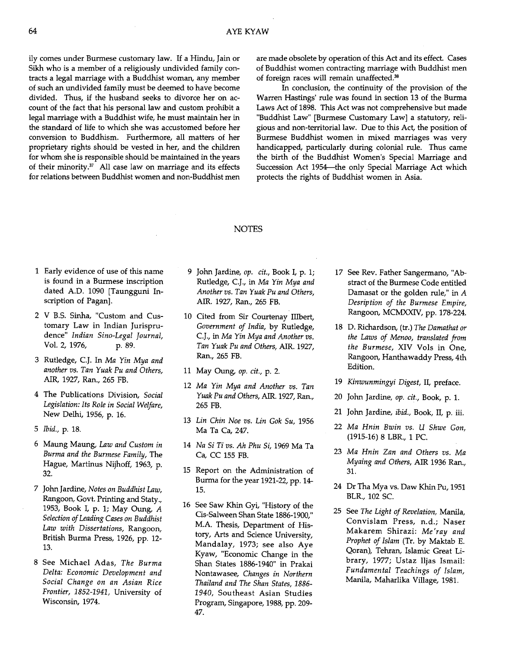ily comes under Burmese customary law. If a Hindu, Jain or Sikh who is a member of a religiously undivided family contracts a legal marriage with a Buddhist woman, any member of such an undivided family must be deemed to have become divided. Thus, if the husband seeks to divorce her on account of the fact that his personal law and custom prohibit a legal marriage with a Buddhist wife, he must maintain her in the standard of life to which she was accustomed before her conversion to Buddhism. Furthermore, all matters of her proprietary rights should be vested in her, and the children for whom she is responsible should be maintained in the years of their minority. $37$  All case law on marriage and its effects for relations between Buddhist women and non-Buddhist men are made obsolete by operation of this Act and its effect. Cases of Buddhist women contracting marriage with Buddhist men of foreign races will remain unaffected.<sup>38</sup>

In conclusion, the continuity of the provision of the Warren Hastings' rule was found in section 13 of the Burma Laws Act of 1898. This Act was not comprehensive but made "Buddhist Law" [Burmese Customary Law] a statutory, religious and non-territorial law. Due to this Act, the position of Burmese Buddhist women in mixed marriages was very handicapped, particularly during colonial rule. Thus came the birth of the Buddhist Women's Special Marriage and Succession Act 1954-the only Special Marriage Act which protects the rights of Buddhist women in Asia.

## **NOTES**

- 1 Early evidence of use of this name 9 John Jardine, *op. cit.*, Book I, p. 1; 17 See Rev. Father Sangermano, "Ab-<br>is found in a Burmese inscription Rutledge, C.J., in Ma Yin Mya and stract of the Burmese Code entitled
- 2 V B.S. Sinha, "Custom and Cus- 10 Cited from Sir Courtenay IIIbert, Rangoon, MCMXXIV, pp. 178-224.<br>tomary Law in Indian Jurispru- Government of India. by Rutledge. 18 D. Richardson. (tr.) The Damathat or
- *another vs. Tan Yuak Pu and Others,* 11 May Oung, *op. cit.*, p. 2. AIR, 1927, Ran., 265 FB.
- *Legislation: Its Role in Social Welfare,* New Delhi, 1956, p. 16.
- 
- 6 Maung Maung, *Law and Custom* in 14 *Na* Si Ti *vs. Ah Phu* Si, 1969 Ma Ta Hague, Martinus Nijhoff, 1963, p.<br>21 **My**<br>21 **My** 32. <sup>12</sup> 15 Report on the Administration of 32.
- Rangoon, Govt. Printing and Staty., The Community of the Community of the BLR., 102 SC. *Selection of Leading Cases on Buddhist*  British Burma Press, 1926, pp. 12-
- 
- 
- tomary Law in Indian Jurispru- *Government of India,* by Rutledge, 18 D. Richardson, (tr.) *The Damathat or* 
	-
- 4 The Publications Division, *Social Yuak Pu and Others,* AIR. 1927, Ran., 20 John Jardine, *op.* cit., Book, p. 1.
- 13 *Lin Chin Noe vs. Lin Gok Su,* 1956 <sup>5</sup>*Ibid.,* p. 18. Ma Ta Ca, 247. 22 *Ma Hnin Bwin vs. U Shwe Gon,* 
	-
- John Jardine, *Notes on Buddhist Law,*  7 24 Dr Tha Mya vs. Daw Khin Pu, 1951 15. Burma for the year 1921-22, pp. 14-
- 16 See Saw Khin Gyi, "History of the 1953, Book I, p. 1; May Oung, *A* 16 See Saw Khin Gyi, "History of the 1953, Book I, p. 1; May Oung, *A* Cis-Salween Shan State 1886-1900," *Law with Dissertations, Rangoon,* M.A. Thesis, Department of His-<br>British Burma Press, 1926, pp. 12-<br>Mandalay 1973: see also Aye Prophet of Islam (Tr. by Maktab E. 13. Mandalay, 1973; see also Aye<br>Kyaw, "Economic Change in the Qoran), Tehran, Islamic Great Li-<br>See Michael Adas *The Burme* Shap States 1996, 1940" in Praksi brary, 1977; Ustaz Iljas Ismail: 8 See Michael Adas, *The Burma* Shan States 1886-1940" in Prakai brary, 1977; Ustaz lljas Ismail: *Delta: Economic Development and* Nontawasee, *Changes in Northern Fundamental Teachings of Islam, Social Change on an Asian Rice* Thailand and The Shan States, 1886-<br>Frontier, 1852-1941, University of 1940, Southeast Asian Studies *Frontier, 1852-1941,* University of *1940,* Southeast Asian Studies Program, Singapore, 1988, pp. 209-47.
- is found in a Burmese inscription **Rutledge, C.J., in** *Ma Yin Mya and* **stract of the Burmese Code entitled**<br>dated A.D. 1090 [Taungguni In-<br>Another vs. Tan Yuak Pu and Others, Damasat or the golden rule," in A dated A.D. 1090 [Taungguni In- *Another vs. Tan Yuak Pu and Others,* Damasat or the golden rule," in *A*  Desription of the Burmese Empire,
- dence" *Indian Sino-Legal Journal,* C.J., in *Ma Yin Mya and Another vs. the Laws of Menoo, translated from*  Fan Yuak Pu and Others, AIR. 1927, *the Burmese*, XIV Vols in One, Ran., 265 FB. *the Burmese, Alwaeddy Press, 4th* 3 Rutledge, C.J. In *Ma Yin Mya and* Ran., 265 FB. Rangoon, Hanthawaddy Press, 4th
	- <sup>12</sup>*Ma Yin Mya and Another vs. Tan* 19 *Kinwunmingyi Digest,* II, preface.
		-
		- 21 John Jardine, ibid., Book, II, p. iii.
		- (1915-16) 8 LBR., 1 PC.
	- *Burma and the Burmese Family,* The Ca, CC 155 FB. 23 *Ma Hnin Zan and Others vs. Ma* 
		-
		- 25 See The Light of Revelation, Manila,<br>Convislam Press, n.d.; Naser M.A. Thesis, Department of His-<br>tory Arts and Science University. Makarem Shirazi: Me'ray and Mandalay, 1973; see also Aye *Prophet of Islam* (Tr. by Maktab E.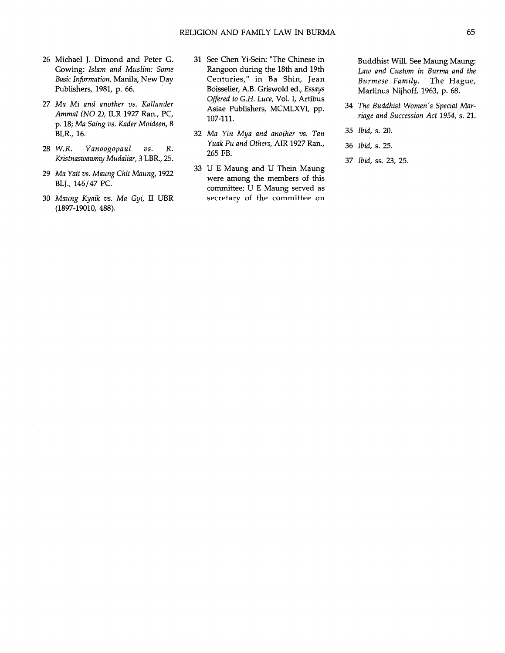- 26 Michael J. Dimond and Peter G. Gowing: *Islam and Muslim: Some Basic Information,* Manila, New Day Publishers, 1981, p. 66.
- 27 *Ma Mi and another vs. Kallander Ammal (NO 2),* ILR 1927 Ran., PC, p. 18; *Ma Saing vs. Kader Moideen,* 8 BLR., 16.
- 28 *W.R. Vanoogopaul vs. R. Kristnaswawmy Mudaliar,* 3 LBR., 25.
- 29 *Ma Yait vs. Maung Chit Maung,* 1922 BLJ., 146/47 PC.
- 30 *Maung Kyaik vs. Ma Gyi,* II UBR (1897-19010, 488).
- 31 See Chen Yi-Sein: "The Chinese in Rangoon during the 18th and 19th Centuries," in Ba Shin, Jean Boisselier, A.B. Griswold ed., *Essays Offered to* G.H. *Luce,* Vol. I, Artibus Asiae Publishers, MCMLXVI, pp. 107-111.
- 32 *Ma Yin Mya and another vs. Tan Yuak Pu and Others,* AIR 1927 Ran., 265 FB.
- 33 U E Maung and U Thein Maung were among the members of this committee; U E Maung served as secretary of the committee on

Buddhist Will. See Maung Maung: *Law and Custom in Burma and the Burmese Family.* The Hague, Martinus Nijhoff, 1963, p. 68.

- 34 The *Buddhist Women's Special Marriage and Succession Act 1954,* s. 21.
- 35 *Ibid,* s. 20.
- 36 *Ibid,* s. 25.
- 37 *Ibid,* ss. 23, 25.